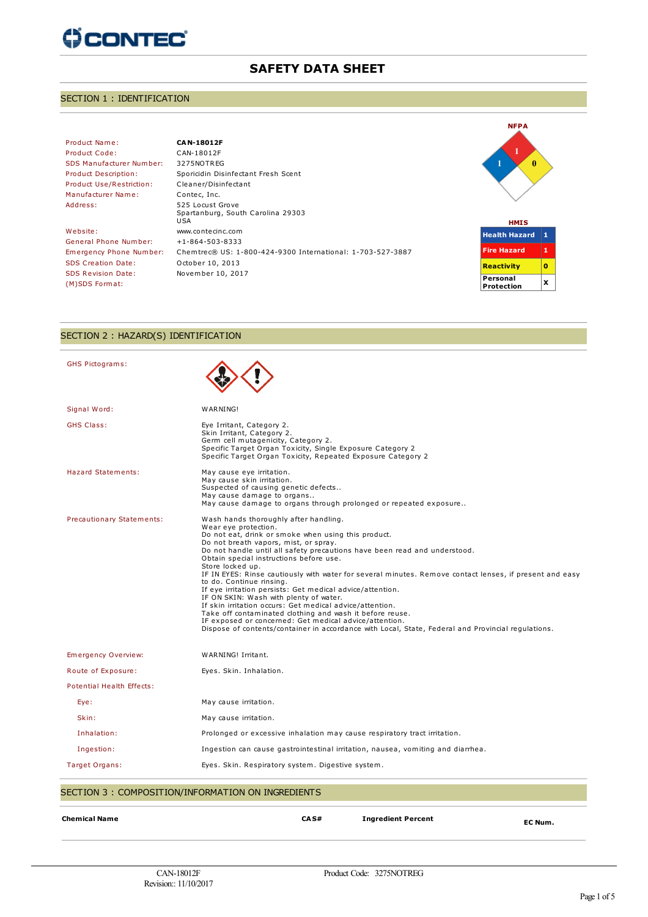# **() CONTEC**

# **SAFETY DATA SHEET**

# SECTION 1 : IDENTIFICATION

# Product Name: **CAN-18012F** Product Code: CAN-18012F SDS Manufacturer Number: 3275NOTREG Product Use/Restriction: Cleaner/Disinfectant Manufacturer Name: Contec, Inc.

Website: www.contecinc.com General Phone Number: +1-864-503-8333 SDS Creation Date: October 10, 2013 SDS Revision Date: November 10, 2017 (M)SDS Format:

Product Description: Sporicidin Disinfectant Fresh Scent Address: 525 Locust Grove Spartanburg, South Carolina 29303 USA Emergency Phone Number: Chemtrec® US: 1-800-424-9300 International: 1-703-527-3887





#### SECTION 2 : HAZARD(S) IDENTIFICATION

| GHS Pictograms:                                    |                                                                                                                                                                                                                                                                                                                                                                                                                                                                                                                                                                                                                                                                                                                                                                                                                                                 |
|----------------------------------------------------|-------------------------------------------------------------------------------------------------------------------------------------------------------------------------------------------------------------------------------------------------------------------------------------------------------------------------------------------------------------------------------------------------------------------------------------------------------------------------------------------------------------------------------------------------------------------------------------------------------------------------------------------------------------------------------------------------------------------------------------------------------------------------------------------------------------------------------------------------|
|                                                    |                                                                                                                                                                                                                                                                                                                                                                                                                                                                                                                                                                                                                                                                                                                                                                                                                                                 |
| Signal Word:                                       | WARNING!                                                                                                                                                                                                                                                                                                                                                                                                                                                                                                                                                                                                                                                                                                                                                                                                                                        |
| <b>GHS Class:</b>                                  | Eye Irritant, Category 2.<br>Skin Irritant, Category 2.<br>Germ cell mutagenicity, Category 2.<br>Specific Target Organ Toxicity, Single Exposure Category 2<br>Specific Target Organ Toxicity, Repeated Exposure Category 2                                                                                                                                                                                                                                                                                                                                                                                                                                                                                                                                                                                                                    |
| <b>Hazard Statements:</b>                          | May cause eye irritation.<br>May cause skin irritation.<br>Suspected of causing genetic defects<br>May cause damage to organs<br>May cause damage to organs through prolonged or repeated exposure                                                                                                                                                                                                                                                                                                                                                                                                                                                                                                                                                                                                                                              |
| Precautionary Statements:                          | Wash hands thoroughly after handling.<br>Wear eye protection.<br>Do not eat, drink or smoke when using this product.<br>Do not breath vapors, mist, or spray.<br>Do not handle until all safety precautions have been read and understood.<br>Obtain special instructions before use.<br>Store locked up.<br>IF IN EYES: Rinse cautiously with water for several minutes. Remove contact lenses, if present and easy<br>to do. Continue rinsing.<br>If eye irritation persists: Get medical advice/attention.<br>IF ON SKIN: Wash with plenty of water.<br>If skin irritation occurs: Get medical advice/attention.<br>Take off contaminated clothing and wash it before reuse.<br>IF exposed or concerned: Get medical advice/attention.<br>Dispose of contents/container in accordance with Local, State, Federal and Provincial regulations. |
| Emergency Overview:                                | WARNING! Irritant.                                                                                                                                                                                                                                                                                                                                                                                                                                                                                                                                                                                                                                                                                                                                                                                                                              |
| Route of Exposure:                                 | Eyes. Skin. Inhalation.                                                                                                                                                                                                                                                                                                                                                                                                                                                                                                                                                                                                                                                                                                                                                                                                                         |
| <b>Potential Health Effects:</b>                   |                                                                                                                                                                                                                                                                                                                                                                                                                                                                                                                                                                                                                                                                                                                                                                                                                                                 |
| Eye:                                               | May cause irritation.                                                                                                                                                                                                                                                                                                                                                                                                                                                                                                                                                                                                                                                                                                                                                                                                                           |
| Skin:                                              | May cause irritation.                                                                                                                                                                                                                                                                                                                                                                                                                                                                                                                                                                                                                                                                                                                                                                                                                           |
| Inhalation:                                        | Prolonged or excessive inhalation may cause respiratory tract irritation.                                                                                                                                                                                                                                                                                                                                                                                                                                                                                                                                                                                                                                                                                                                                                                       |
| Ingestion:                                         | Ingestion can cause gastrointestinal irritation, nausea, vomiting and diarrhea.                                                                                                                                                                                                                                                                                                                                                                                                                                                                                                                                                                                                                                                                                                                                                                 |
| Target Organs:                                     | Eyes. Skin. Respiratory system. Digestive system.                                                                                                                                                                                                                                                                                                                                                                                                                                                                                                                                                                                                                                                                                                                                                                                               |
| SECTION 3 : COMPOSITION/INFORMATION ON INGREDIENTS |                                                                                                                                                                                                                                                                                                                                                                                                                                                                                                                                                                                                                                                                                                                                                                                                                                                 |
| <b>Chemical Name</b>                               | CAS#<br><b>Ingredient Percent</b><br>EC Num.                                                                                                                                                                                                                                                                                                                                                                                                                                                                                                                                                                                                                                                                                                                                                                                                    |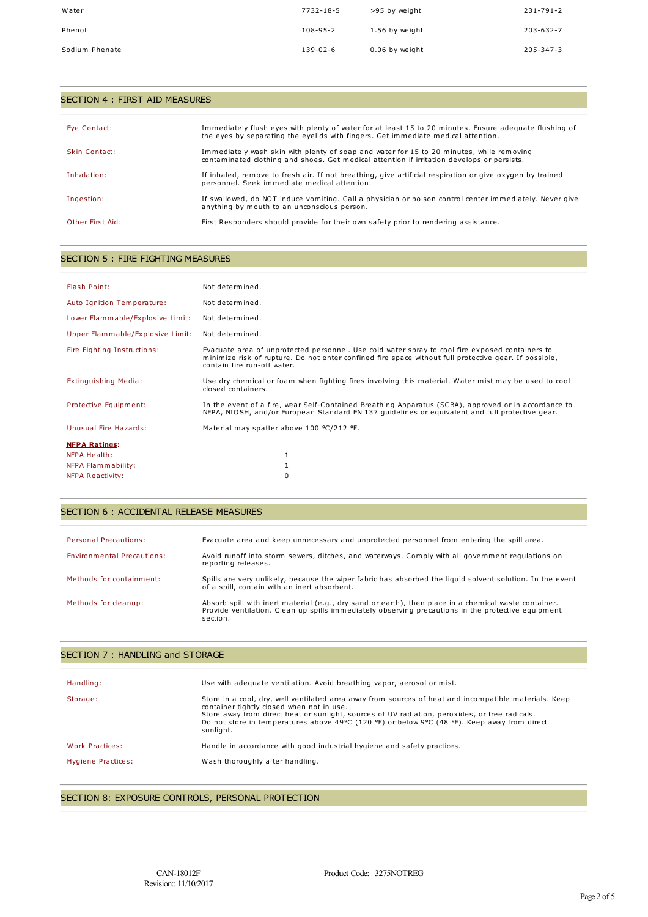| Water          | 7732-18-5      | >95 by weight  | 231-791-2 |
|----------------|----------------|----------------|-----------|
| Phenol         | $108 - 95 - 2$ | 1.56 by weight | 203-632-7 |
| Sodium Phenate | $139 - 02 - 6$ | 0.06 by weight | 205-347-3 |

| SECTION 4 : FIRST AID MEASURES |                                                                                                                                                                                             |
|--------------------------------|---------------------------------------------------------------------------------------------------------------------------------------------------------------------------------------------|
| Eye Contact:                   | Immediately flush eyes with plenty of water for at least 15 to 20 minutes. Ensure adequate flushing of<br>the eyes by separating the eyelids with fingers. Get immediate medical attention. |
| Skin Contact:                  | Immediately wash skin with plenty of soap and water for 15 to 20 minutes, while removing<br>contaminated clothing and shoes. Get medical attention if irritation develops or persists.      |
| Inhalation:                    | If inhaled, remove to fresh air. If not breathing, give artificial respiration or give oxygen by trained<br>personnel. Seek immediate medical attention.                                    |
| Ingestion:                     | If swallowed, do NOT induce vomiting. Call a physician or poison control center immediately. Never give<br>anything by mouth to an unconscious person.                                      |
| Other First Aid:               | First Responders should provide for their own safety prior to rendering assistance.                                                                                                         |

# SECTION 5 : FIRE FIGHTING MEASURES

| Flash Point:                     | Not determined.                                                                                                                                                                                                                         |
|----------------------------------|-----------------------------------------------------------------------------------------------------------------------------------------------------------------------------------------------------------------------------------------|
|                                  |                                                                                                                                                                                                                                         |
| Auto Ignition Temperature:       | Not determined.                                                                                                                                                                                                                         |
| Lower Flammable/Explosive Limit: | Not determined.                                                                                                                                                                                                                         |
| Upper Flammable/Explosive Limit: | Not determined.                                                                                                                                                                                                                         |
| Fire Fighting Instructions:      | Evacuate area of unprotected personnel. Use cold water spray to cool fire exposed containers to<br>minimize risk of rupture. Do not enter confined fire space without full protective gear. If possible,<br>contain fire run-off water. |
| Extinguishing Media:             | Use dry chemical or foam when fighting fires involving this material. Water mist may be used to cool<br>closed containers.                                                                                                              |
| Protective Equipment:            | In the event of a fire, wear Self-Contained Breathing Apparatus (SCBA), approved or in accordance to<br>NFPA, NIOSH, and/or European Standard EN 137 quidelines or equivalent and full protective gear.                                 |
| Unusual Fire Hazards:            | Material may spatter above 100 °C/212 °F.                                                                                                                                                                                               |
| <b>NFPA Ratings:</b>             |                                                                                                                                                                                                                                         |
| NFPA Health:                     |                                                                                                                                                                                                                                         |
| NFPA Flammability:               |                                                                                                                                                                                                                                         |
| <b>NFPA Reactivity:</b>          | 0                                                                                                                                                                                                                                       |

# SECTION 6 : ACCIDENTAL RELEASE MEASURES

| <b>Personal Precautions:</b> | Evacuate area and keep unnecessary and unprotected personnel from entering the spill area.                                                                                                                              |
|------------------------------|-------------------------------------------------------------------------------------------------------------------------------------------------------------------------------------------------------------------------|
| Environmental Precautions:   | Avoid runoff into storm sewers, ditches, and waterways. Comply with all government regulations on<br>reporting releases.                                                                                                |
| Methods for containment:     | Spills are very unlikely, because the wiper fabric has absorbed the liquid solvent solution. In the event<br>of a spill, contain with an inert absorbent.                                                               |
| Methods for cleanup:         | Absorb spill with inert material (e.g., dry sand or earth), then place in a chemical waste container.<br>Provide ventilation. Clean up spills immediately observing precautions in the protective equipment<br>section. |

| SECTION 7: HANDLING and STORAGE |                                                                                                                                                                                                                                                                                                                                                                   |  |
|---------------------------------|-------------------------------------------------------------------------------------------------------------------------------------------------------------------------------------------------------------------------------------------------------------------------------------------------------------------------------------------------------------------|--|
| Handling:                       | Use with adequate ventilation. Avoid breathing vapor, aerosol or mist.                                                                                                                                                                                                                                                                                            |  |
| Storage:                        | Store in a cool, dry, well ventilated area away from sources of heat and incompatible materials. Keep<br>container tightly closed when not in use.<br>Store away from direct heat or sunlight, sources of UV radiation, peroxides, or free radicals.<br>Do not store in temperatures above 49°C (120 °F) or below 9°C (48 °F). Keep away from direct<br>sunlight. |  |
| Work Practices:                 | Handle in accordance with good industrial hygiene and safety practices.                                                                                                                                                                                                                                                                                           |  |
| Hygiene Practices:              | Wash thoroughly after handling.                                                                                                                                                                                                                                                                                                                                   |  |

# SECTION 8: EXPOSURE CONTROLS, PERSONAL PROTECTION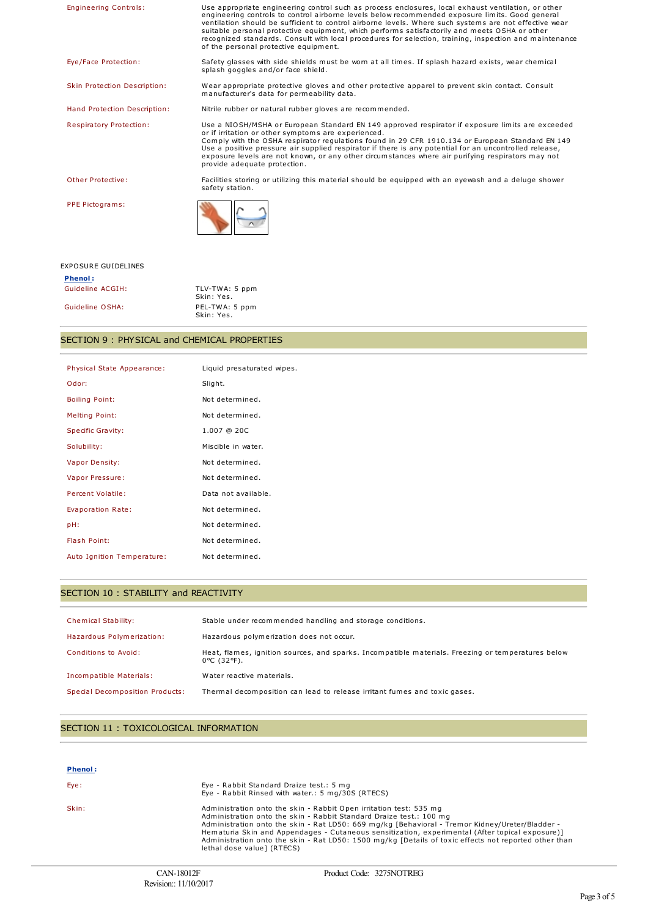| <b>Engineering Controls:</b>   | Use appropriate engineering control such as process enclosures, local exhaust ventilation, or other<br>engineering controls to control airborne levels below recommended exposure limits. Good general<br>ventilation should be sufficient to control airborne levels. Where such systems are not effective wear<br>suitable personal protective equipment, which performs satisfactorily and meets OSHA or other<br>recognized standards. Consult with local procedures for selection, training, inspection and maintenance<br>of the personal protective equipment. |
|--------------------------------|-----------------------------------------------------------------------------------------------------------------------------------------------------------------------------------------------------------------------------------------------------------------------------------------------------------------------------------------------------------------------------------------------------------------------------------------------------------------------------------------------------------------------------------------------------------------------|
| Eye/Face Protection:           | Safety glasses with side shields must be worn at all times. If splash hazard exists, wear chemical<br>splash goggles and/or face shield.                                                                                                                                                                                                                                                                                                                                                                                                                              |
| Skin Protection Description:   | Wear appropriate protective gloves and other protective apparel to prevent skin contact. Consult<br>manufacturer's data for permeability data.                                                                                                                                                                                                                                                                                                                                                                                                                        |
| Hand Protection Description:   | Nitrile rubber or natural rubber gloves are recommended.                                                                                                                                                                                                                                                                                                                                                                                                                                                                                                              |
| <b>Respiratory Protection:</b> | Use a NIOSH/MSHA or European Standard EN 149 approved respirator if exposure limits are exceeded<br>or if irritation or other symptoms are experienced.<br>Comply with the OSHA respirator regulations found in 29 CFR 1910.134 or European Standard EN 149<br>Use a positive pressure air supplied respirator if there is any potential for an uncontrolled release,<br>exposure levels are not known, or any other circumstances where air purifying respirators may not<br>provide adequate protection.                                                            |
| Other Protective:              | Facilities storing or utilizing this material should be equipped with an eyewash and a deluge shower<br>safety station.                                                                                                                                                                                                                                                                                                                                                                                                                                               |
| PPE Pictograms:                |                                                                                                                                                                                                                                                                                                                                                                                                                                                                                                                                                                       |
| <b>EXPOSURE GUIDELINES</b>     |                                                                                                                                                                                                                                                                                                                                                                                                                                                                                                                                                                       |

| <b>Phenol:</b>   |                              |
|------------------|------------------------------|
| Guideline ACGIH: | TLV-TWA: 5 ppm<br>Skin: Yes. |
| Guideline OSHA:  | PEL-TWA: 5 ppm<br>Skin: Yes. |

### SECTION 9 : PHYSICAL and CHEMICAL PROPERTIES

| Physical State Appearance: | Liquid presaturated wipes. |
|----------------------------|----------------------------|
| Odor:                      | Slight.                    |
| <b>Boiling Point:</b>      | Not determined.            |
| <b>Melting Point:</b>      | Not determined.            |
| <b>Specific Gravity:</b>   | $1.007$ @ 20C              |
| Solubility:                | Miscible in water.         |
| <b>Vapor Density:</b>      | Not determined.            |
| Vapor Pressure:            | Not determined.            |
| Percent Volatile:          | Data not available.        |
| Evaporation Rate:          | Not determined.            |
| pH:                        | Not determined.            |
| Flash Point:               | Not determined.            |
| Auto Ignition Temperature: | Not determined.            |

### SECTION 10 : STABILITY and REACTIVITY

| <b>Chemical Stability:</b>      | Stable under recommended handling and storage conditions.                                                                              |
|---------------------------------|----------------------------------------------------------------------------------------------------------------------------------------|
| Hazardous Polymerization:       | Hazardous polymerization does not occur.                                                                                               |
| Conditions to Avoid:            | Heat, flames, ignition sources, and sparks. Incompatible materials. Freezing or temperatures below<br>$0^{\circ}$ C (32 $^{\circ}$ F). |
| Incompatible Materials:         | Water reactive materials.                                                                                                              |
| Special Decomposition Products: | Thermal decomposition can lead to release irritant fumes and toxic gases.                                                              |

# SECTION 11 : TOXICOLOGICAL INFORMATION

| Phenol: |                                                                                                                                                                                                                                                                                                                                                                                                                                                                                         |
|---------|-----------------------------------------------------------------------------------------------------------------------------------------------------------------------------------------------------------------------------------------------------------------------------------------------------------------------------------------------------------------------------------------------------------------------------------------------------------------------------------------|
| Eye:    | Eye - Rabbit Standard Draize test.: 5 mg<br>Eye - Rabbit Rinsed with water.: 5 mg/30S (RTECS)                                                                                                                                                                                                                                                                                                                                                                                           |
| Skin:   | Administration onto the skin - Rabbit Open irritation test: 535 mg<br>Administration onto the skin - Rabbit Standard Draize test.: 100 mg<br>Administration onto the skin - Rat LD50: 669 mg/kg [Behavioral - Tremor Kidney/Ureter/Bladder -<br>Hematuria Skin and Appendages - Cutaneous sensitization, experimental (After topical exposure)]<br>Administration onto the skin - Rat LD50: 1500 mg/kg [Details of toxic effects not reported other than<br>lethal dose value 1 (RTECS) |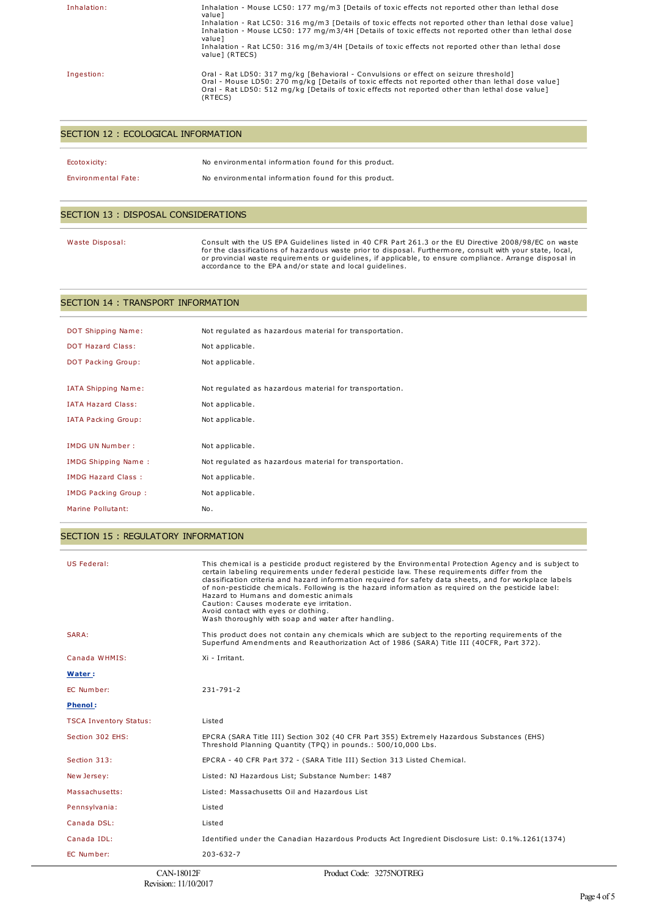| Inhalation: | Inhalation - Mouse LC50: 177 mg/m3 [Details of toxic effects not reported other than lethal dose<br>valuel<br>Inhalation - Rat LC50: 316 mg/m3 [Details of toxic effects not reported other than lethal dose value]<br>Inhalation - Mouse LC50: 177 mg/m3/4H [Details of toxic effects not reported other than lethal dose<br>valuel<br>Inhalation - Rat LC50: 316 mg/m3/4H [Details of toxic effects not reported other than lethal dose<br>value 1 (RTECS) |
|-------------|--------------------------------------------------------------------------------------------------------------------------------------------------------------------------------------------------------------------------------------------------------------------------------------------------------------------------------------------------------------------------------------------------------------------------------------------------------------|
| Ingestion:  | Oral - Rat LD50: 317 mg/kg [Behavioral - Convulsions or effect on seizure threshold]<br>Oral - Mouse LD50: 270 mg/kg [Details of toxic effects not reported other than lethal dose value]<br>Oral - Rat LD50: 512 mg/kg [Details of toxic effects not reported other than lethal dose value]<br>(RTECS)                                                                                                                                                      |

#### SECTION 12 : ECOLOGICAL INFORMATION

| Ecotoxicity:               | No environmental information found for this product. |
|----------------------------|------------------------------------------------------|
| <b>Environmental Fate:</b> | No environmental information found for this product. |

#### SECTION 13 : DISPOSAL CONSIDERATIONS

Waste Disposal: Consult with the US EPA Guidelines listed in 40 CFR Part 261.3 or the EU Directive 2008/98/EC on waste for the classifications of hazardous waste prior to disposal. Furthermore, consult with your state, local,<br>or provincial waste requirements or guidelines, if applicable, to ensure compliance. Arrange disposal in<br>accordance

#### SECTION 14 : TRANSPORT INFORMATION

| DOT Shipping Name:         | Not regulated as hazardous material for transportation. |
|----------------------------|---------------------------------------------------------|
| <b>DOT Hazard Class:</b>   | Not applicable.                                         |
| DOT Packing Group:         | Not applicable.                                         |
|                            |                                                         |
| <b>IATA Shipping Name:</b> | Not regulated as hazardous material for transportation. |
| <b>IATA Hazard Class:</b>  | Not applicable.                                         |
| <b>IATA Packing Group:</b> | Not applicable.                                         |
|                            |                                                         |
| <b>IMDG UN Number:</b>     | Not applicable.                                         |
| IMDG Shipping Name:        | Not regulated as hazardous material for transportation. |
| <b>IMDG Hazard Class:</b>  | Not applicable.                                         |
| <b>IMDG Packing Group:</b> | Not applicable.                                         |
| Marine Pollutant:          | No.                                                     |
|                            |                                                         |

#### SECTION 15 : REGULATORY INFORMATION

| US Federal:                   | This chemical is a pesticide product registered by the Environmental Protection Agency and is subject to<br>certain labeling requirements under federal pesticide law. These requirements differ from the<br>classification criteria and hazard information required for safety data sheets, and for workplace labels<br>of non-pesticide chemicals. Following is the hazard information as required on the pesticide label:<br>Hazard to Humans and domestic animals<br>Caution: Causes moderate eye irritation.<br>Avoid contact with eyes or clothing.<br>Wash thoroughly with soap and water after handling. |
|-------------------------------|------------------------------------------------------------------------------------------------------------------------------------------------------------------------------------------------------------------------------------------------------------------------------------------------------------------------------------------------------------------------------------------------------------------------------------------------------------------------------------------------------------------------------------------------------------------------------------------------------------------|
| SARA:                         | This product does not contain any chemicals which are subject to the reporting requirements of the<br>Superfund Amendments and Reauthorization Act of 1986 (SARA) Title III (40CFR, Part 372).                                                                                                                                                                                                                                                                                                                                                                                                                   |
| Canada WHMIS:                 | Xi - Irritant.                                                                                                                                                                                                                                                                                                                                                                                                                                                                                                                                                                                                   |
| Water:                        |                                                                                                                                                                                                                                                                                                                                                                                                                                                                                                                                                                                                                  |
| EC Number:                    | $231 - 791 - 2$                                                                                                                                                                                                                                                                                                                                                                                                                                                                                                                                                                                                  |
| <b>Phenol:</b>                |                                                                                                                                                                                                                                                                                                                                                                                                                                                                                                                                                                                                                  |
| <b>TSCA Inventory Status:</b> | Listed                                                                                                                                                                                                                                                                                                                                                                                                                                                                                                                                                                                                           |
| Section 302 EHS:              | EPCRA (SARA Title III) Section 302 (40 CFR Part 355) Extremely Hazardous Substances (EHS)<br>Threshold Planning Quantity (TPQ) in pounds.: 500/10,000 Lbs.                                                                                                                                                                                                                                                                                                                                                                                                                                                       |
| Section 313:                  | EPCRA - 40 CFR Part 372 - (SARA Title III) Section 313 Listed Chemical.                                                                                                                                                                                                                                                                                                                                                                                                                                                                                                                                          |
| New Jersey:                   | Listed: NJ Hazardous List; Substance Number: 1487                                                                                                                                                                                                                                                                                                                                                                                                                                                                                                                                                                |
| Massachusetts:                | Listed: Massachusetts Oil and Hazardous List                                                                                                                                                                                                                                                                                                                                                                                                                                                                                                                                                                     |
| Pennsylvania:                 | Listed                                                                                                                                                                                                                                                                                                                                                                                                                                                                                                                                                                                                           |
| Canada DSL:                   | Listed                                                                                                                                                                                                                                                                                                                                                                                                                                                                                                                                                                                                           |
| Canada IDL:                   | Identified under the Canadian Hazardous Products Act Ingredient Disclosure List: 0.1%.1261(1374)                                                                                                                                                                                                                                                                                                                                                                                                                                                                                                                 |
| EC Number:                    | $203 - 632 - 7$                                                                                                                                                                                                                                                                                                                                                                                                                                                                                                                                                                                                  |